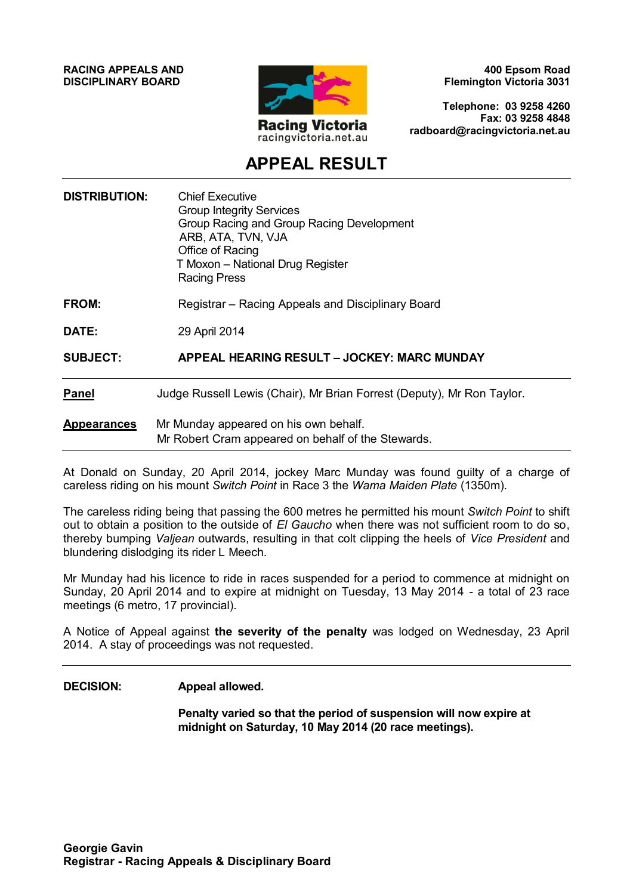**RACING APPEALS AND DISCIPLINARY BOARD**



**400 Epsom Road Flemington Victoria 3031**

**Telephone: 03 9258 4260 Fax: 03 9258 4848 radboard@racingvictoria.net.au**

## **APPEAL RESULT**

| <b>DISTRIBUTION:</b> | <b>Chief Executive</b><br><b>Group Integrity Services</b><br>Group Racing and Group Racing Development<br>ARB, ATA, TVN, VJA<br>Office of Racing<br>T Moxon - National Drug Register<br><b>Racing Press</b> |
|----------------------|-------------------------------------------------------------------------------------------------------------------------------------------------------------------------------------------------------------|
| FROM:                | Registrar - Racing Appeals and Disciplinary Board                                                                                                                                                           |
| DATE:                | 29 April 2014                                                                                                                                                                                               |
| <b>SUBJECT:</b>      | APPEAL HEARING RESULT - JOCKEY: MARC MUNDAY                                                                                                                                                                 |
| <b>Panel</b>         | Judge Russell Lewis (Chair), Mr Brian Forrest (Deputy), Mr Ron Taylor.                                                                                                                                      |
| <b>Appearances</b>   | Mr Munday appeared on his own behalf.<br>Mr Robert Cram appeared on behalf of the Stewards.                                                                                                                 |

At Donald on Sunday, 20 April 2014, jockey Marc Munday was found guilty of a charge of careless riding on his mount *Switch Point* in Race 3 the *Wama Maiden Plate* (1350m).

The careless riding being that passing the 600 metres he permitted his mount *Switch Point* to shift out to obtain a position to the outside of *El Gaucho* when there was not sufficient room to do so, thereby bumping *Valjean* outwards, resulting in that colt clipping the heels of *Vice President* and blundering dislodging its rider L Meech.

Mr Munday had his licence to ride in races suspended for a period to commence at midnight on Sunday, 20 April 2014 and to expire at midnight on Tuesday, 13 May 2014 - a total of 23 race meetings (6 metro, 17 provincial).

A Notice of Appeal against **the severity of the penalty** was lodged on Wednesday, 23 April 2014. A stay of proceedings was not requested.

#### **DECISION: Appeal allowed.**

**Penalty varied so that the period of suspension will now expire at midnight on Saturday, 10 May 2014 (20 race meetings).**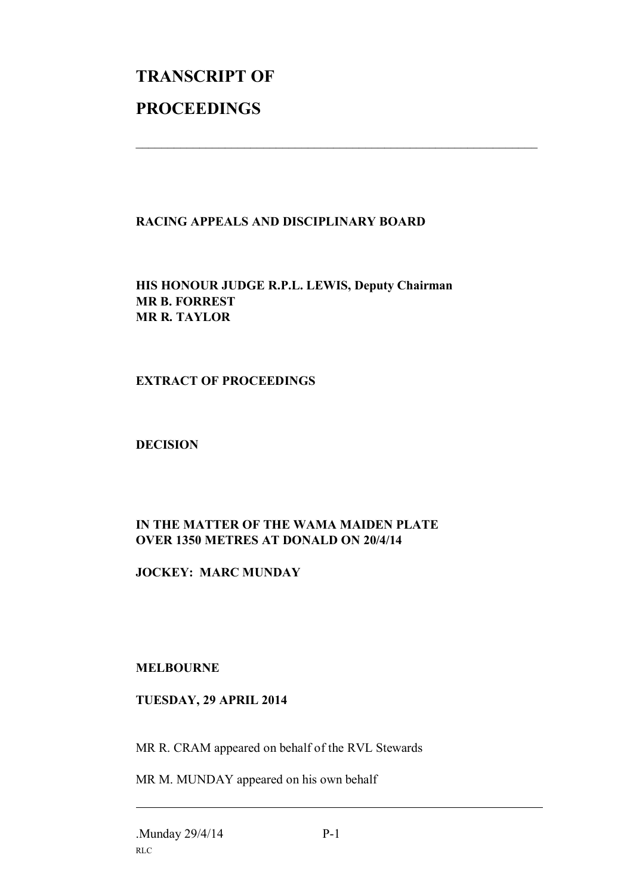# **TRANSCRIPT OF PROCEEDINGS**

#### **RACING APPEALS AND DISCIPLINARY BOARD**

 $\mathcal{L}_\text{max}$  , and the contribution of the contribution of the contribution of the contribution of the contribution of the contribution of the contribution of the contribution of the contribution of the contribution of t

**HIS HONOUR JUDGE R.P.L. LEWIS, Deputy Chairman MR B. FORREST MR R. TAYLOR**

#### **EXTRACT OF PROCEEDINGS**

**DECISION**

### **IN THE MATTER OF THE WAMA MAIDEN PLATE OVER 1350 METRES AT DONALD ON 20/4/14**

#### **JOCKEY: MARC MUNDAY**

#### **MELBOURNE**

#### **TUESDAY, 29 APRIL 2014**

MR R. CRAM appeared on behalf of the RVL Stewards

MR M. MUNDAY appeared on his own behalf